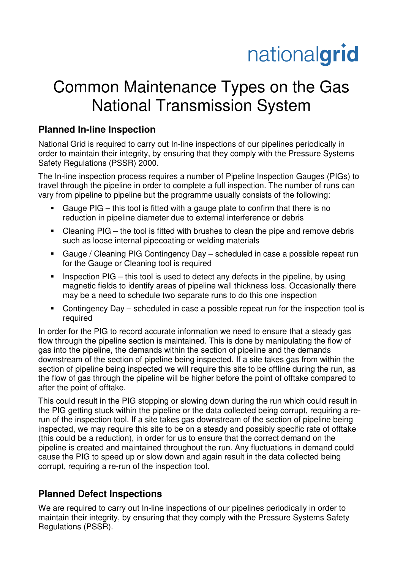# nationalgrid

## Common Maintenance Types on the Gas National Transmission System

### **Planned In-line Inspection**

National Grid is required to carry out In-line inspections of our pipelines periodically in order to maintain their integrity, by ensuring that they comply with the Pressure Systems Safety Regulations (PSSR) 2000.

The In-line inspection process requires a number of Pipeline Inspection Gauges (PIGs) to travel through the pipeline in order to complete a full inspection. The number of runs can vary from pipeline to pipeline but the programme usually consists of the following:

- Gauge PIG this tool is fitted with a gauge plate to confirm that there is no reduction in pipeline diameter due to external interference or debris
- Cleaning PIG the tool is fitted with brushes to clean the pipe and remove debris such as loose internal pipecoating or welding materials
- Gauge / Cleaning PIG Contingency Day scheduled in case a possible repeat run for the Gauge or Cleaning tool is required
- Inspection PIG this tool is used to detect any defects in the pipeline, by using magnetic fields to identify areas of pipeline wall thickness loss. Occasionally there may be a need to schedule two separate runs to do this one inspection
- Contingency Day scheduled in case a possible repeat run for the inspection tool is required

In order for the PIG to record accurate information we need to ensure that a steady gas flow through the pipeline section is maintained. This is done by manipulating the flow of gas into the pipeline, the demands within the section of pipeline and the demands downstream of the section of pipeline being inspected. If a site takes gas from within the section of pipeline being inspected we will require this site to be offline during the run, as the flow of gas through the pipeline will be higher before the point of offtake compared to after the point of offtake.

This could result in the PIG stopping or slowing down during the run which could result in the PIG getting stuck within the pipeline or the data collected being corrupt, requiring a rerun of the inspection tool. If a site takes gas downstream of the section of pipeline being inspected, we may require this site to be on a steady and possibly specific rate of offtake (this could be a reduction), in order for us to ensure that the correct demand on the pipeline is created and maintained throughout the run. Any fluctuations in demand could cause the PIG to speed up or slow down and again result in the data collected being corrupt, requiring a re-run of the inspection tool.

#### **Planned Defect Inspections**

We are required to carry out In-line inspections of our pipelines periodically in order to maintain their integrity, by ensuring that they comply with the Pressure Systems Safety Regulations (PSSR).